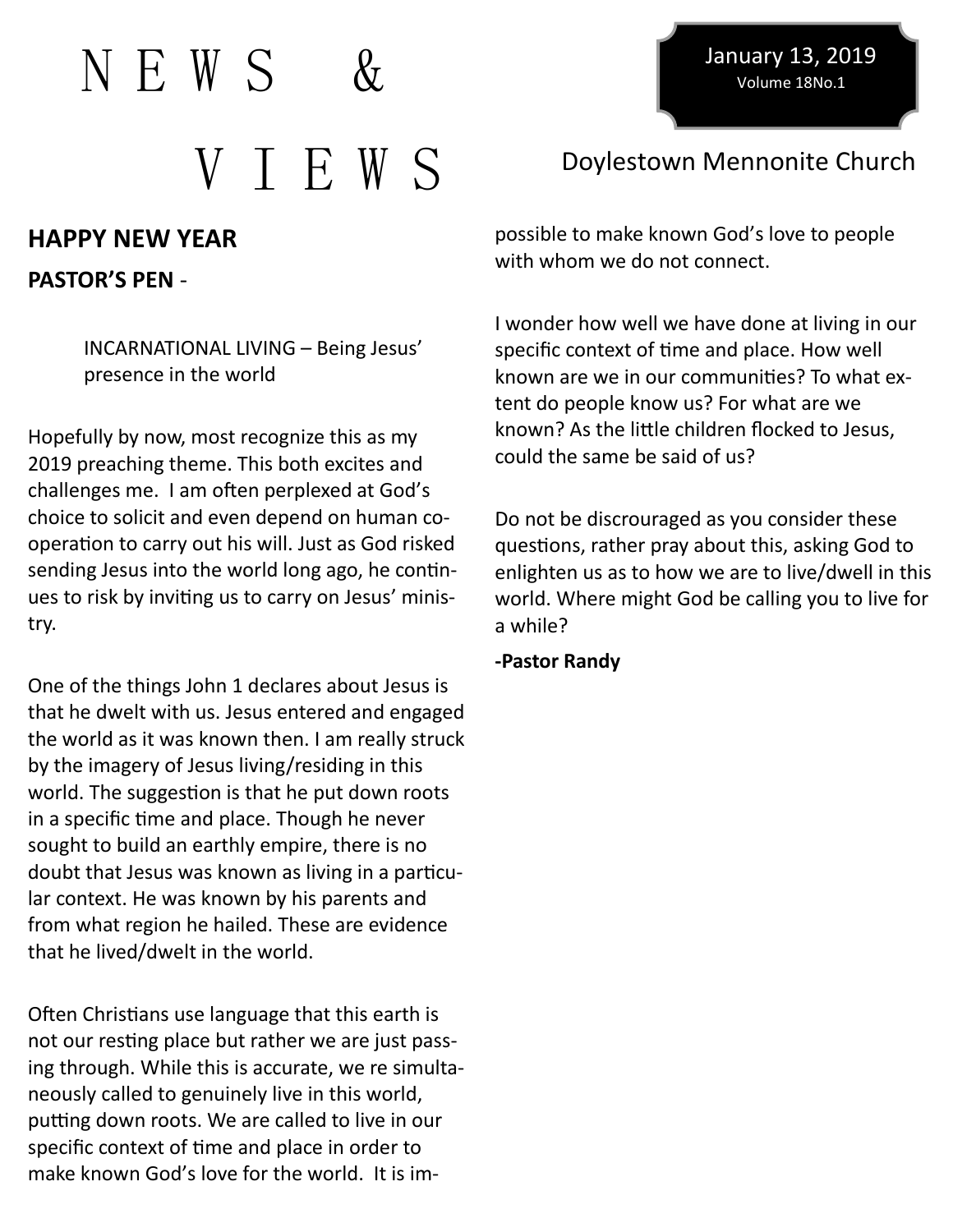$N E W S$ 

January 13, 2019 Volume 18No.1

# V T F W S Doylestown Mennonite Church

## **HAPPY NEW YEAR**

### **PASTOR'S PEN** -

INCARNATIONAL LIVING – Being Jesus' presence in the world

Hopefully by now, most recognize this as my 2019 preaching theme. This both excites and challenges me. I am often perplexed at God's choice to solicit and even depend on human cooperation to carry out his will. Just as God risked sending Jesus into the world long ago, he continues to risk by inviting us to carry on Jesus' ministry.

One of the things John 1 declares about Jesus is that he dwelt with us. Jesus entered and engaged the world as it was known then. I am really struck by the imagery of Jesus living/residing in this world. The suggestion is that he put down roots in a specific time and place. Though he never sought to build an earthly empire, there is no doubt that Jesus was known as living in a particular context. He was known by his parents and from what region he hailed. These are evidence that he lived/dwelt in the world.

Often Christians use language that this earth is not our resting place but rather we are just passing through. While this is accurate, we re simultaneously called to genuinely live in this world, putting down roots. We are called to live in our specific context of time and place in order to make known God's love for the world. It is im-

possible to make known God's love to people with whom we do not connect.

I wonder how well we have done at living in our specific context of time and place. How well known are we in our communities? To what extent do people know us? For what are we known? As the little children flocked to Jesus, could the same be said of us?

Do not be discrouraged as you consider these questions, rather pray about this, asking God to enlighten us as to how we are to live/dwell in this world. Where might God be calling you to live for a while?

**-Pastor Randy**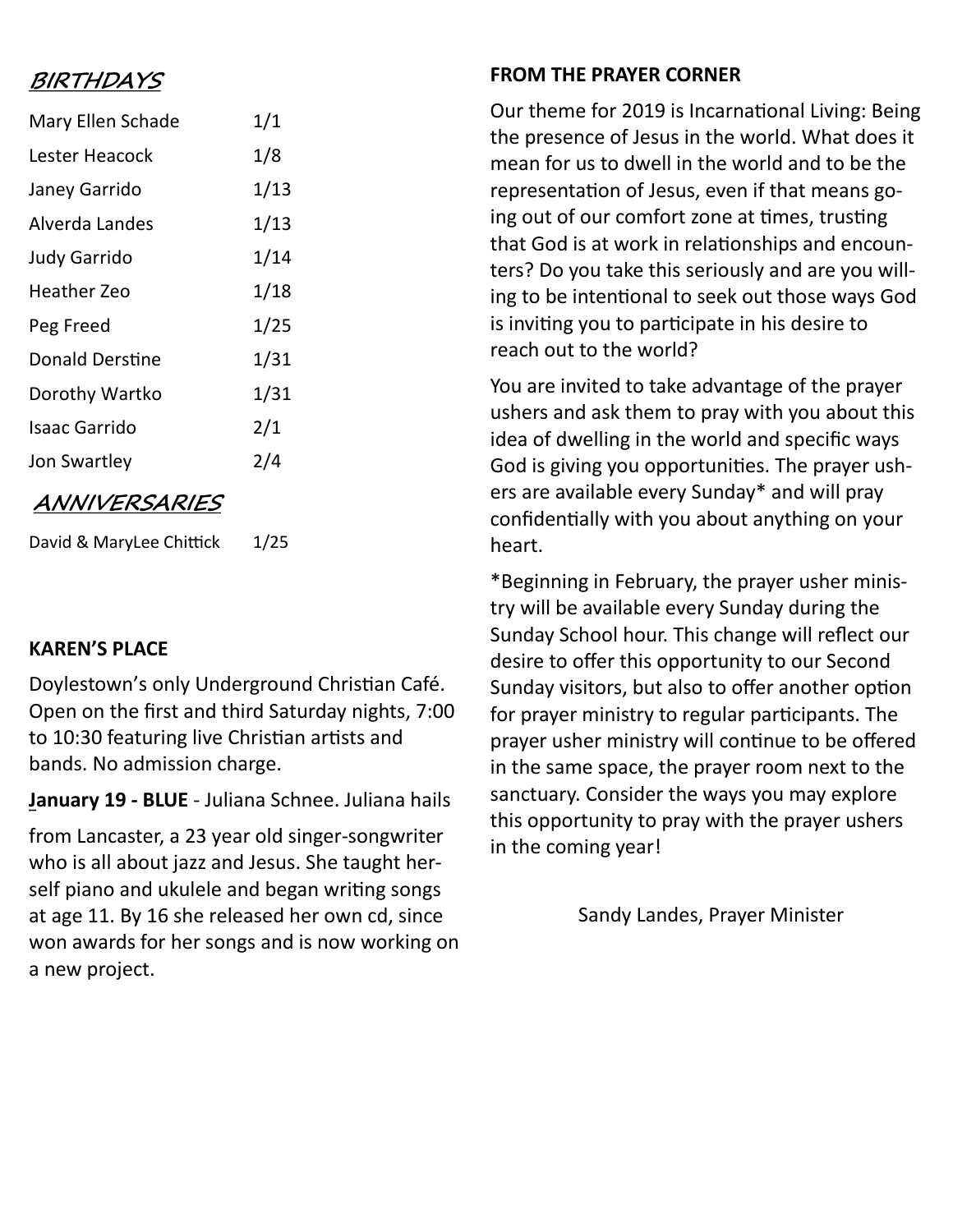## **BIRTHDAYS**

| Mary Ellen Schade      | 1/1  |
|------------------------|------|
| Lester Heacock         | 1/8  |
| Janey Garrido          | 1/13 |
| Alverda Landes         | 1/13 |
| <b>Judy Garrido</b>    | 1/14 |
| Heather Zeo            | 1/18 |
| Peg Freed              | 1/25 |
| <b>Donald Derstine</b> | 1/31 |
| Dorothy Wartko         | 1/31 |
| Isaac Garrido          | 2/1  |
| Jon Swartley           | 2/4  |
| ANNIVERSARIES          |      |

David & MaryLee Chittick 1/25

## **KAREN'S PLACE**

Doylestown's only Underground Christian Café. Open on the first and third Saturday nights, 7:00 to 10:30 featuring live Christian artists and bands. No admission charge.

**January 19 - BLUE** - Juliana Schnee. Juliana hails

from Lancaster, a 23 year old singer-songwriter who is all about jazz and Jesus. She taught herself piano and ukulele and began writing songs at age 11. By 16 she released her own cd, since won awards for her songs and is now working on a new project.

## **FROM THE PRAYER CORNER**

Our theme for 2019 is Incarnational Living: Being the presence of Jesus in the world. What does it mean for us to dwell in the world and to be the representation of Jesus, even if that means going out of our comfort zone at times, trusting that God is at work in relationships and encounters? Do you take this seriously and are you willing to be intentional to seek out those ways God is inviting you to participate in his desire to reach out to the world?

You are invited to take advantage of the prayer ushers and ask them to pray with you about this idea of dwelling in the world and specific ways God is giving you opportunities. The prayer ushers are available every Sunday\* and will pray confidentially with you about anything on your heart.

\*Beginning in February, the prayer usher ministry will be available every Sunday during the Sunday School hour. This change will reflect our desire to offer this opportunity to our Second Sunday visitors, but also to offer another option for prayer ministry to regular participants. The prayer usher ministry will continue to be offered in the same space, the prayer room next to the sanctuary. Consider the ways you may explore this opportunity to pray with the prayer ushers in the coming year!

Sandy Landes, Prayer Minister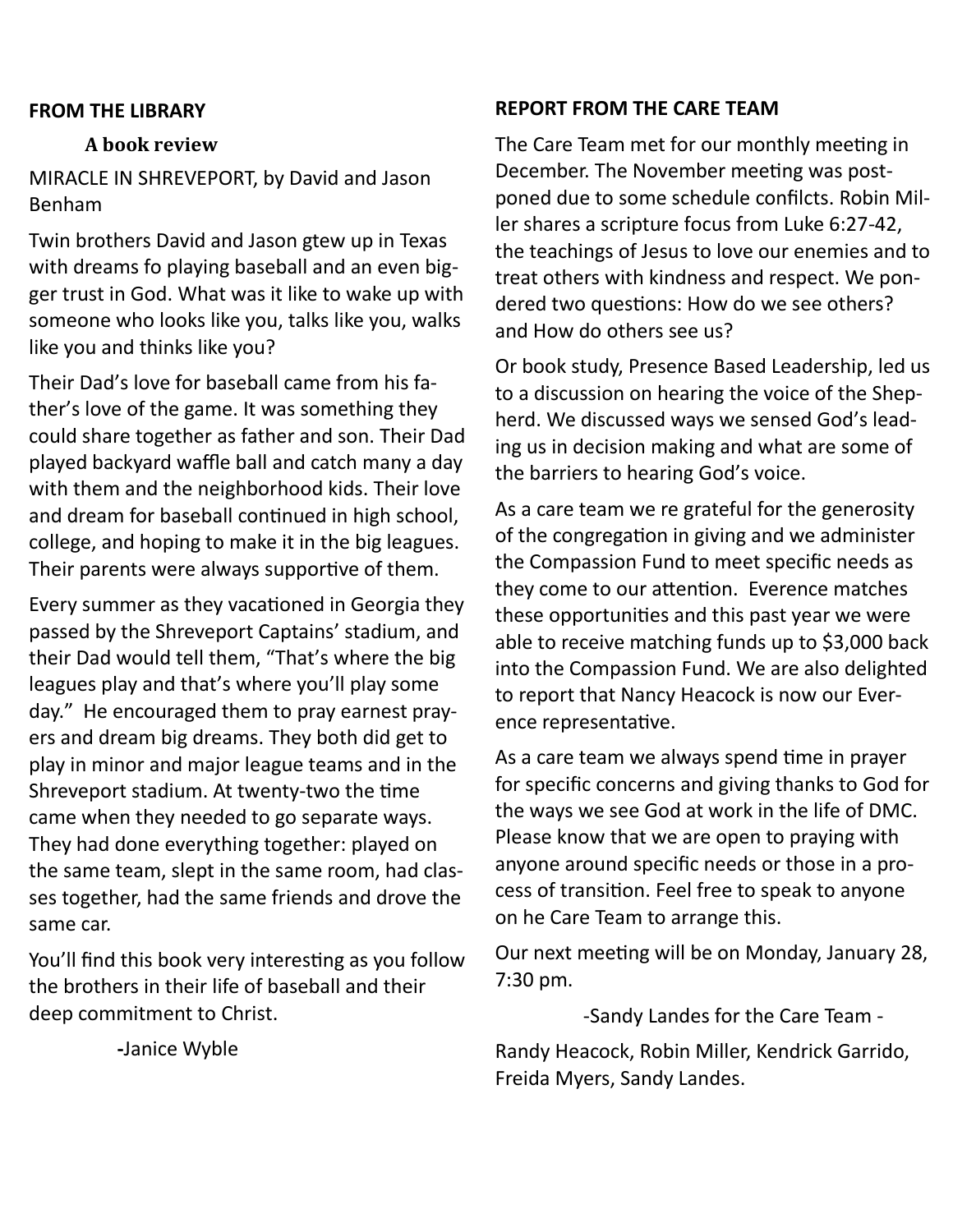#### **FROM THE LIBRARY**

#### **A book review**

MIRACLE IN SHREVEPORT, by David and Jason Benham

Twin brothers David and Jason gtew up in Texas with dreams fo playing baseball and an even bigger trust in God. What was it like to wake up with someone who looks like you, talks like you, walks like you and thinks like you?

Their Dad's love for baseball came from his father's love of the game. It was something they could share together as father and son. Their Dad played backyard waffle ball and catch many a day with them and the neighborhood kids. Their love and dream for baseball continued in high school, college, and hoping to make it in the big leagues. Their parents were always supportive of them.

Every summer as they vacationed in Georgia they passed by the Shreveport Captains' stadium, and their Dad would tell them, "That's where the big leagues play and that's where you'll play some day." He encouraged them to pray earnest prayers and dream big dreams. They both did get to play in minor and major league teams and in the Shreveport stadium. At twenty-two the time came when they needed to go separate ways. They had done everything together: played on the same team, slept in the same room, had classes together, had the same friends and drove the same car.

You'll find this book very interesting as you follow the brothers in their life of baseball and their deep commitment to Christ.

**REPORT FROM THE CARE TEAM**

The Care Team met for our monthly meeting in December. The November meeting was postponed due to some schedule confilcts. Robin Miller shares a scripture focus from Luke 6:27-42, the teachings of Jesus to love our enemies and to treat others with kindness and respect. We pondered two questions: How do we see others? and How do others see us?

Or book study, Presence Based Leadership, led us to a discussion on hearing the voice of the Shepherd. We discussed ways we sensed God's leading us in decision making and what are some of the barriers to hearing God's voice.

As a care team we re grateful for the generosity of the congregation in giving and we administer the Compassion Fund to meet specific needs as they come to our attention. Everence matches these opportunities and this past year we were able to receive matching funds up to \$3,000 back into the Compassion Fund. We are also delighted to report that Nancy Heacock is now our Everence representative.

As a care team we always spend time in prayer for specific concerns and giving thanks to God for the ways we see God at work in the life of DMC. Please know that we are open to praying with anyone around specific needs or those in a process of transition. Feel free to speak to anyone on he Care Team to arrange this.

Our next meeting will be on Monday, January 28, 7:30 pm.

-Sandy Landes for the Care Team -

Randy Heacock, Robin Miller, Kendrick Garrido, Freida Myers, Sandy Landes.

**-**Janice Wyble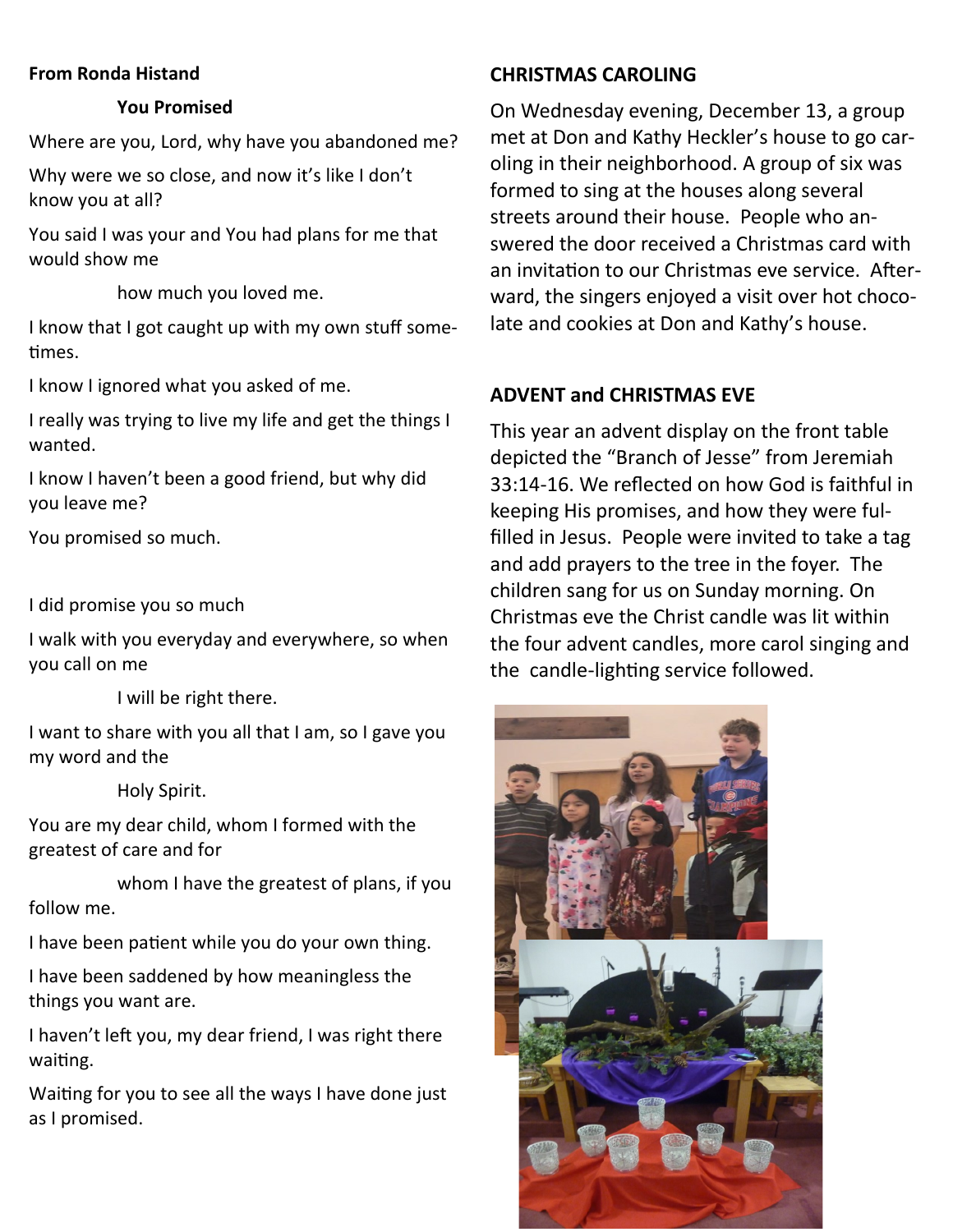#### **From Ronda Histand**

#### **You Promised**

Where are you, Lord, why have you abandoned me?

Why were we so close, and now it's like I don't know you at all?

You said I was your and You had plans for me that would show me

how much you loved me.

I know that I got caught up with my own stuff sometimes.

I know I ignored what you asked of me.

I really was trying to live my life and get the things I wanted.

I know I haven't been a good friend, but why did you leave me?

You promised so much.

I did promise you so much

I walk with you everyday and everywhere, so when you call on me

I will be right there.

I want to share with you all that I am, so I gave you my word and the

Holy Spirit.

You are my dear child, whom I formed with the greatest of care and for

whom I have the greatest of plans, if you follow me.

I have been patient while you do your own thing.

I have been saddened by how meaningless the things you want are.

I haven't left you, my dear friend, I was right there waiting.

Waiting for you to see all the ways I have done just as I promised.

## **CHRISTMAS CAROLING**

On Wednesday evening, December 13, a group met at Don and Kathy Heckler's house to go caroling in their neighborhood. A group of six was formed to sing at the houses along several streets around their house. People who answered the door received a Christmas card with an invitation to our Christmas eve service. Afterward, the singers enjoyed a visit over hot chocolate and cookies at Don and Kathy's house.

## **ADVENT and CHRISTMAS EVE**

This year an advent display on the front table depicted the "Branch of Jesse" from Jeremiah 33:14-16. We reflected on how God is faithful in keeping His promises, and how they were fulfilled in Jesus. People were invited to take a tag and add prayers to the tree in the foyer. The children sang for us on Sunday morning. On Christmas eve the Christ candle was lit within the four advent candles, more carol singing and the candle-lighting service followed.

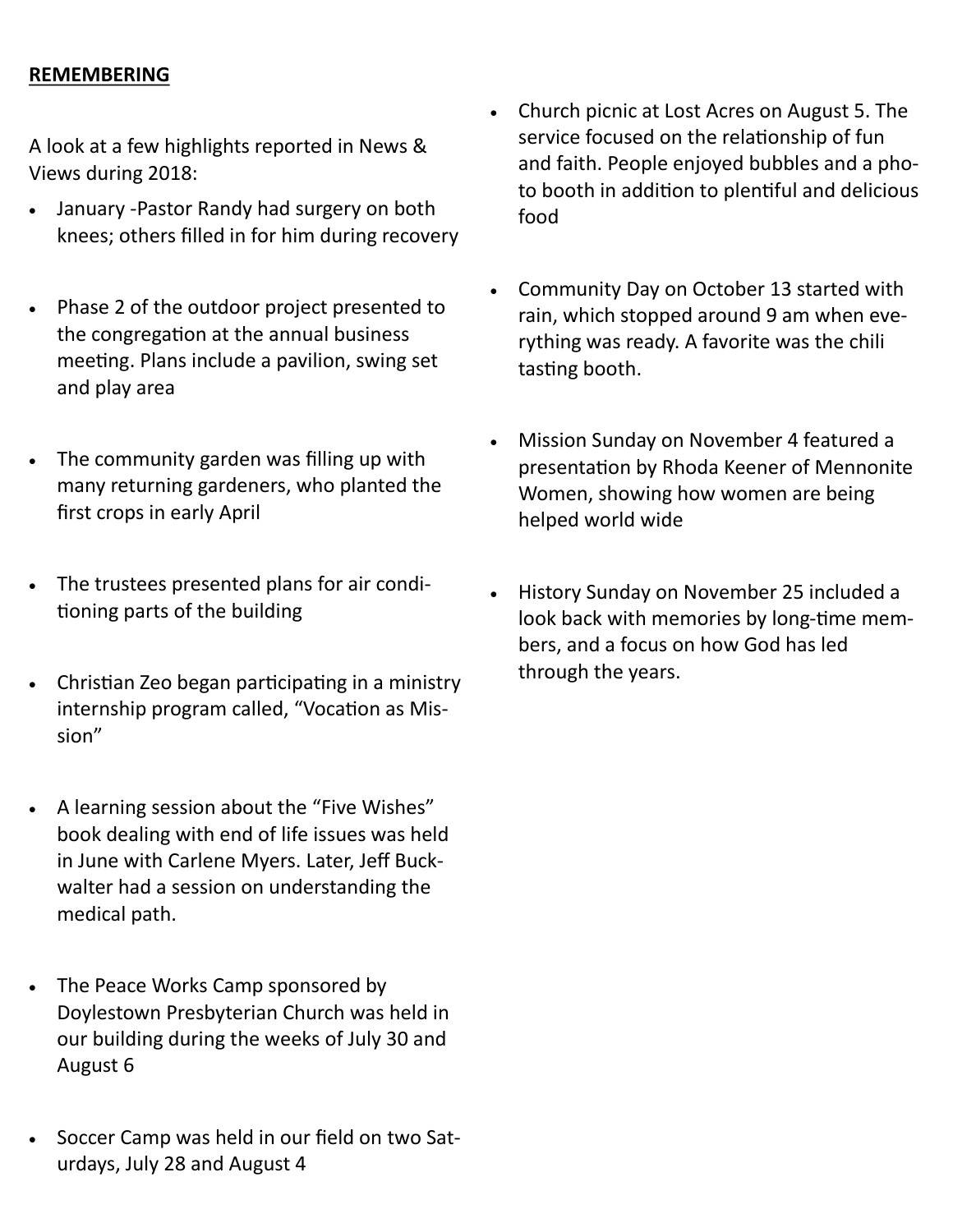### **REMEMBERING**

A look at a few highlights reported in News & Views during 2018:

- January -Pastor Randy had surgery on both knees; others filled in for him during recovery
- Phase 2 of the outdoor project presented to the congregation at the annual business meeting. Plans include a pavilion, swing set and play area
- The community garden was filling up with many returning gardeners, who planted the first crops in early April
- The trustees presented plans for air conditioning parts of the building
- Christian Zeo began participating in a ministry internship program called, "Vocation as Mission"
- A learning session about the "Five Wishes" book dealing with end of life issues was held in June with Carlene Myers. Later, Jeff Buckwalter had a session on understanding the medical path.
- The Peace Works Camp sponsored by Doylestown Presbyterian Church was held in our building during the weeks of July 30 and August 6
- Soccer Camp was held in our field on two Saturdays, July 28 and August 4
- Church picnic at Lost Acres on August 5. The service focused on the relationship of fun and faith. People enjoyed bubbles and a photo booth in addition to plentiful and delicious food
- Community Day on October 13 started with rain, which stopped around 9 am when everything was ready. A favorite was the chili tasting booth.
- Mission Sunday on November 4 featured a presentation by Rhoda Keener of Mennonite Women, showing how women are being helped world wide
- History Sunday on November 25 included a look back with memories by long-time members, and a focus on how God has led through the years.